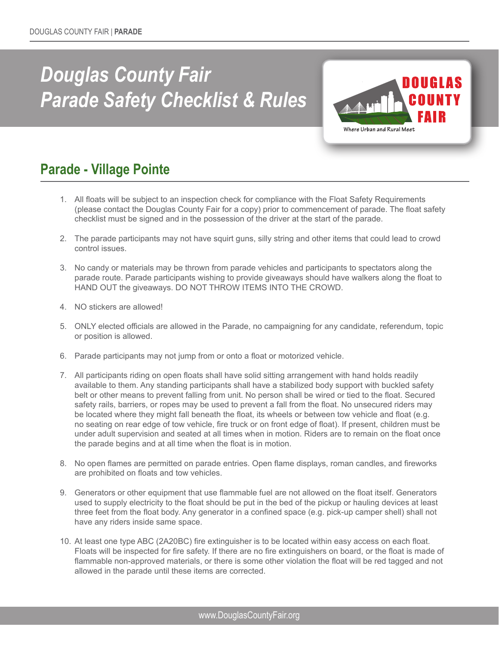## *Douglas County Fair Parade Safety Checklist & Rules*



## **Parade - Village Pointe**

- 1. All floats will be subject to an inspection check for compliance with the Float Safety Requirements (please contact the Douglas County Fair for a copy) prior to commencement of parade. The float safety checklist must be signed and in the possession of the driver at the start of the parade.
- 2. The parade participants may not have squirt guns, silly string and other items that could lead to crowd control issues.
- 3. No candy or materials may be thrown from parade vehicles and participants to spectators along the parade route. Parade participants wishing to provide giveaways should have walkers along the float to HAND OUT the giveaways. DO NOT THROW ITEMS INTO THE CROWD.
- 4. NO stickers are allowed!
- 5. ONLY elected officials are allowed in the Parade, no campaigning for any candidate, referendum, topic or position is allowed.
- 6. Parade participants may not jump from or onto a float or motorized vehicle.
- 7. All participants riding on open floats shall have solid sitting arrangement with hand holds readily available to them. Any standing participants shall have a stabilized body support with buckled safety belt or other means to prevent falling from unit. No person shall be wired or tied to the float. Secured safety rails, barriers, or ropes may be used to prevent a fall from the float. No unsecured riders may be located where they might fall beneath the float, its wheels or between tow vehicle and float (e.g. no seating on rear edge of tow vehicle, fire truck or on front edge of float). If present, children must be under adult supervision and seated at all times when in motion. Riders are to remain on the float once the parade begins and at all time when the float is in motion.
- 8. No open flames are permitted on parade entries. Open flame displays, roman candles, and fireworks are prohibited on floats and tow vehicles.
- 9. Generators or other equipment that use flammable fuel are not allowed on the float itself. Generators used to supply electricity to the float should be put in the bed of the pickup or hauling devices at least three feet from the float body. Any generator in a confined space (e.g. pick-up camper shell) shall not have any riders inside same space.
- 10. At least one type ABC (2A20BC) fire extinguisher is to be located within easy access on each float. Floats will be inspected for fire safety. If there are no fire extinguishers on board, or the float is made of flammable non-approved materials, or there is some other violation the float will be red tagged and not allowed in the parade until these items are corrected.